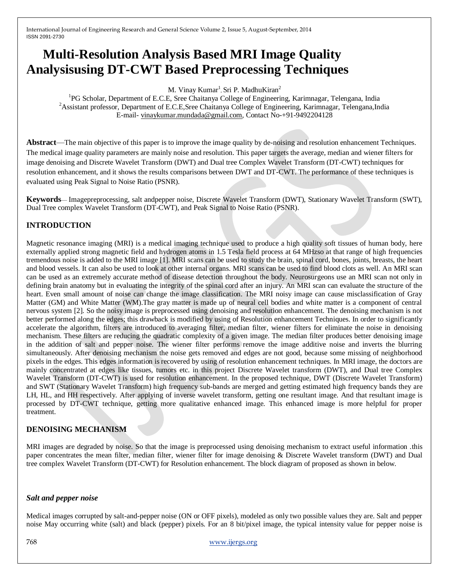# **Multi-Resolution Analysis Based MRI Image Quality Analysisusing DT-CWT Based Preprocessing Techniques**

M. Vinay Kumar<sup>1</sup>, Sri P. MadhuKiran<sup>2</sup>

<sup>1</sup>PG Scholar, Department of E.C.E, Sree Chaitanya College of Engineering, Karimnagar, Telengana, India <sup>2</sup>Assistant professor, Department of E.C.E.Sree Chaitanya College of Engineering, Karimnagar, Telengana,India E-mail- [vinaykumar.mundada@gmail.com,](mailto:vinaykumar.mundada@gmail.com) Contact No-+91-9492204128

**Abstract—The main objective of this paper is to improve the image quality by de-noising and resolution enhancement Techniques.** The medical image quality parameters are mainly noise and resolution. This paper targets the average, median and wiener filters for image denoising and Discrete Wavelet Transform (DWT) and Dual tree Complex Wavelet Transform (DT-CWT) techniques for resolution enhancement, and it shows the results comparisons between DWT and DT-CWT. The performance of these techniques is evaluated using Peak Signal to Noise Ratio (PSNR).

**Keywords**— Imagepreprocessing, salt andpepper noise, Discrete Wavelet Transform (DWT), Stationary Wavelet Transform (SWT), Dual Tree complex Wavelet Transform (DT-CWT), and Peak Signal to Noise Ratio (PSNR).

## **INTRODUCTION**

Magnetic resonance imaging (MRI) is a medical imaging technique used to produce a high quality soft tissues of human body, here externally applied strong magnetic field and hydrogen atoms in 1.5 Tesla field process at 64 MHzso at that range of high frequencies tremendous noise is added to the MRI image [1]. MRI scans can be used to study the brain, spinal cord, bones, joints, breasts, the heart and blood vessels. It can also be used to look at other internal organs. MRI scans can be used to find blood clots as well. An MRI scan can be used as an extremely accurate method of disease detection throughout the body. Neurosurgeons use an MRI scan not only in defining brain anatomy but in evaluating the integrity of the spinal cord after an injury. An MRI scan can evaluate the structure of the heart. Even small amount of noise can change the image classification. The MRI noisy image can cause misclassification of Gray Matter (GM) and White Matter (WM).The gray matter is made up of neural cell bodies and white matter is a component of central nervous system [2]. So the noisy image is preprocessed using denoising and resolution enhancement. The denoising mechanism is not better performed along the edges; this drawback is modified by using of Resolution enhancement Techniques. In order to significantly accelerate the algorithm, filters are introduced to averaging filter, median filter, wiener filters for eliminate the noise in denoising mechanism. These filters are reducing the quadratic complexity of a given image. The median filter produces better denoising image in the addition of salt and pepper noise. The wiener filter performs remove the image additive noise and inverts the blurring simultaneously. After denoising mechanism the noise gets removed and edges are not good, because some missing of neighborhood pixels in the edges. This edges information is recovered by using of resolution enhancement techniques. In MRI image, the doctors are mainly concentrated at edges like tissues, tumors etc. in this project Discrete Wavelet transform (DWT), and Dual tree Complex Wavelet Transform (DT-CWT) is used for resolution enhancement. In the proposed technique, DWT (Discrete Wavelet Transform) and SWT (Stationary Wavelet Transform) high frequency sub-bands are merged and getting estimated high frequency bands they are LH, HL, and HH respectively. After applying of inverse wavelet transform, getting one resultant image. And that resultant image is processed by DT-CWT technique, getting more qualitative enhanced image. This enhanced image is more helpful for proper treatment.

## **DENOISING MECHANISM**

MRI images are degraded by noise. So that the image is preprocessed using denoising mechanism to extract useful information .this paper concentrates the mean filter, median filter, wiener filter for image denoising & Discrete Wavelet transform (DWT) and Dual tree complex Wavelet Transform (DT-CWT) for Resolution enhancement. The block diagram of proposed as shown in below.

### *Salt and pepper noise*

Medical images corrupted by salt-and-pepper noise (ON or OFF pixels), modeled as only two possible values they are. Salt and pepper noise May occurring white (salt) and black (pepper) pixels. For an 8 bit/pixel image, the typical intensity value for pepper noise is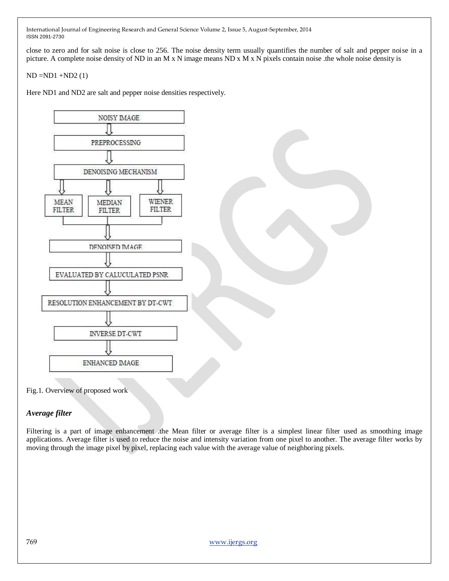close to zero and for salt noise is close to 256. The noise density term usually quantifies the number of salt and pepper noise in a picture. A complete noise density of ND in an M x N image means ND x M x N pixels contain noise .the whole noise density is

 $ND = ND1 + ND2(1)$ 

Here ND1 and ND2 are salt and pepper noise densities respectively.



Fig.1. Overview of proposed work

### *Average filter*

Filtering is a part of image enhancement .the Mean filter or average filter is a simplest linear filter used as smoothing image applications. Average filter is used to reduce the noise and intensity variation from one pixel to another. The average filter works by moving through the image pixel by pixel, replacing each value with the average value of neighboring pixels.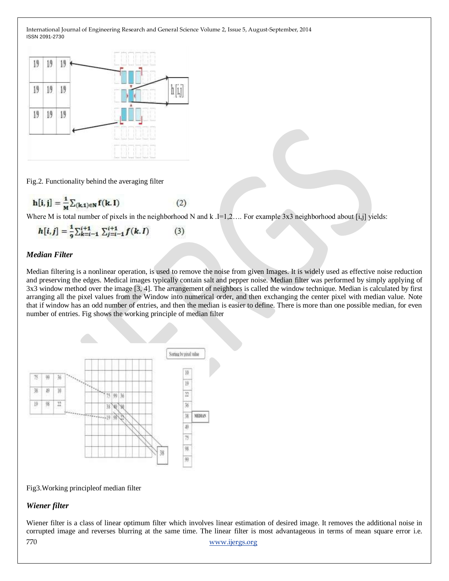

Fig.2. Functionality behind the averaging filter

$$
\mathbf{h}[\mathbf{i}, \mathbf{j}] = \frac{1}{M} \sum_{(\mathbf{k}, \mathbf{1}) \in \mathbf{N}} \mathbf{f}(\mathbf{k}, \mathbf{I})
$$
 (2)

Where M is total number of pixels in the neighborhood N and k  $I=1,2...$  For example 3x3 neighborhood about [i,j] yields:

$$
h[i,j] = \frac{1}{9} \sum_{k=i-1}^{i+1} \sum_{j=i-1}^{i+1} f(k,I) \tag{3}
$$

## *Median Filter*

Median filtering is a nonlinear operation, is used to remove the noise from given Images. It is widely used as effective noise reduction and preserving the edges. Medical images typically contain salt and pepper noise. Median filter was performed by simply applying of 3x3 window method over the image [3, 4]. The arrangement of neighbors is called the window technique. Median is calculated by first arranging all the pixel values from the Window into numerical order, and then exchanging the center pixel with median value. Note that if window has an odd number of entries, and then the median is easier to define. There is more than one possible median, for even number of entries. Fig shows the working principle of median filter



Fig3.Working principleof median filter

## *Wiener filter*

770 [www.ijergs.org](http://www.ijergs.org/) Wiener filter is a class of linear optimum filter which involves linear estimation of desired image. It removes the additional noise in corrupted image and reverses blurring at the same time. The linear filter is most advantageous in terms of mean square error i.e.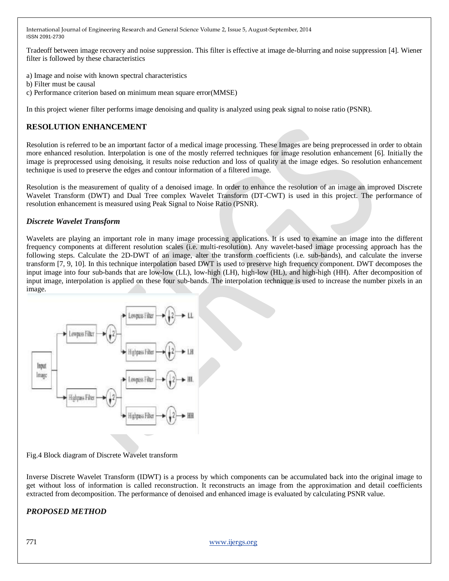Tradeoff between image recovery and noise suppression. This filter is effective at image de-blurring and noise suppression [4]. Wiener filter is followed by these characteristics

- a) Image and noise with known spectral characteristics
- b) Filter must be causal
- c) Performance criterion based on minimum mean square error(MMSE)

In this project wiener filter performs image denoising and quality is analyzed using peak signal to noise ratio (PSNR).

## **RESOLUTION ENHANCEMENT**

Resolution is referred to be an important factor of a medical image processing. These Images are being preprocessed in order to obtain more enhanced resolution. Interpolation is one of the mostly referred techniques for image resolution enhancement [6]. Initially the image is preprocessed using denoising, it results noise reduction and loss of quality at the image edges. So resolution enhancement technique is used to preserve the edges and contour information of a filtered image.

Resolution is the measurement of quality of a denoised image. In order to enhance the resolution of an image an improved Discrete Wavelet Transform (DWT) and Dual Tree complex Wavelet Transform (DT-CWT) is used in this project. The performance of resolution enhancement is measured using Peak Signal to Noise Ratio (PSNR).

### *Discrete Wavelet Transform*

Wavelets are playing an important role in many image processing applications. It is used to examine an image into the different frequency components at different resolution scales (i.e. multi-resolution). Any wavelet-based image processing approach has the following steps. Calculate the 2D-DWT of an image, alter the transform coefficients (i.e. sub-bands), and calculate the inverse transform [7, 9, 10]. In this technique interpolation based DWT is used to preserve high frequency component. DWT decomposes the input image into four sub-bands that are low-low (LL), low-high (LH), high-low (HL), and high-high (HH). After decomposition of input image, interpolation is applied on these four sub-bands. The interpolation technique is used to increase the number pixels in an image.



Fig.4 Block diagram of Discrete Wavelet transform

Inverse Discrete Wavelet Transform (IDWT) is a process by which components can be accumulated back into the original image to get without loss of information is called reconstruction. It reconstructs an image from the approximation and detail coefficients extracted from decomposition. The performance of denoised and enhanced image is evaluated by calculating PSNR value.

### *PROPOSED METHOD*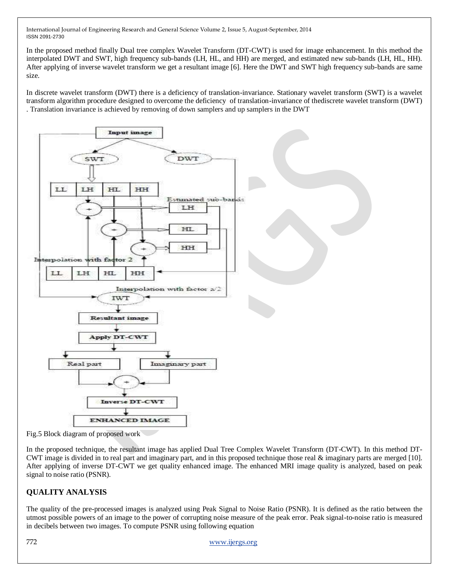In the proposed method finally Dual tree complex Wavelet Transform (DT-CWT) is used for image enhancement. In this method the interpolated DWT and SWT, high frequency sub-bands (LH, HL, and HH) are merged, and estimated new sub-bands (LH, HL, HH). After applying of inverse wavelet transform we get a resultant image [6]. Here the DWT and SWT high frequency sub-bands are same size.

In discrete wavelet transform (DWT) there is a deficiency of translation-invariance. Stationary wavelet transform (SWT) is a wavelet transform algorithm procedure designed to overcome the deficiency of translation-invariance of thediscrete wavelet transform (DWT) . Translation invariance is achieved by removing of down samplers and up samplers in the DWT



Fig.5 Block diagram of proposed work

In the proposed technique, the resultant image has applied Dual Tree Complex Wavelet Transform (DT-CWT). In this method DT-CWT image is divided in to real part and imaginary part, and in this proposed technique those real & imaginary parts are merged [10]. After applying of inverse DT-CWT we get quality enhanced image. The enhanced MRI image quality is analyzed, based on peak signal to noise ratio (PSNR).

## **QUALITY ANALYSIS**

The quality of the pre-processed images is analyzed using Peak Signal to Noise Ratio (PSNR). It is defined as the ratio between the utmost possible powers of an image to the power of corrupting noise measure of the peak error. Peak signal-to-noise ratio is measured in decibels between two images. To compute PSNR using following equation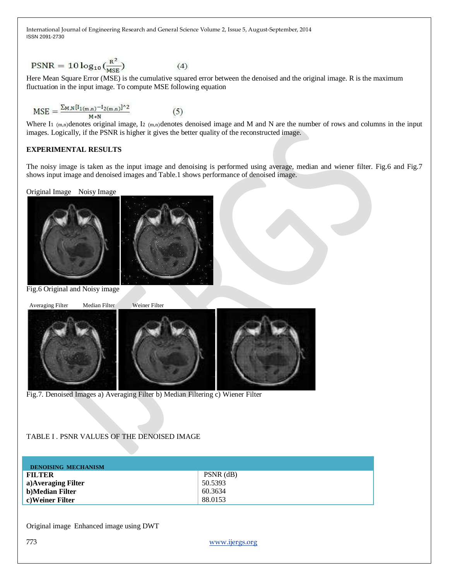$$
PSNR = 10 \log_{10} \left( \frac{R^2}{MSE} \right) \tag{4}
$$

Here Mean Square Error (MSE) is the cumulative squared error between the denoised and the original image. R is the maximum fluctuation in the input image. To compute MSE following equation

$$
MSE = \frac{\sum_{M,N} [I_{1(m,n)} - I_{2(m,n)}]^{2}}{M*N}
$$
(5)

Where I<sub>1</sub> (m,n)denotes original image, I<sub>2</sub> (m,n)denotes denoised image and M and N are the number of rows and columns in the input images. Logically, if the PSNR is higher it gives the better quality of the reconstructed image.

#### **EXPERIMENTAL RESULTS**

The noisy image is taken as the input image and denoising is performed using average, median and wiener filter. Fig.6 and Fig.7 shows input image and denoised images and Table.1 shows performance of denoised image.

Original Image Noisy Image



Fig.6 Original and Noisy image



Fig.7. Denoised Images a) Averaging Filter b) Median Filtering c) Wiener Filter

## TABLE I . PSNR VALUES OF THE DENOISED IMAGE

| <b>DENOISING MECHANISM</b> |             |
|----------------------------|-------------|
| <b>FILTER</b>              | $PSNR$ (dB) |
| a) Averaging Filter        | 50.5393     |
| b)Median Filter            | 60.3634     |
| c)Weiner Filter            | 88.0153     |

Original image Enhanced image using DWT

773 [www.ijergs.org](http://www.ijergs.org/)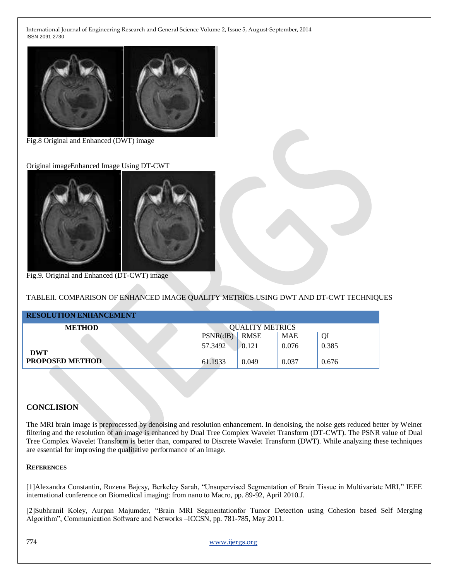

Fig.8 Original and Enhanced (DWT) image

Original imageEnhanced Image Using DT-CWT



Fig.9. Original and Enhanced (DT-CWT) image

TABLEII. COMPARISON OF ENHANCED IMAGE QUALITY METRICS USING DWT AND DT-CWT TECHNIQUES

| <b>RESOLUTION ENHANCEMENT</b>        |                        |             |            |       |  |
|--------------------------------------|------------------------|-------------|------------|-------|--|
| <b>METHOD</b>                        | <b>QUALITY METRICS</b> |             |            |       |  |
|                                      | PSNR(dB)               | <b>RMSE</b> | <b>MAE</b> | QI    |  |
|                                      | 57.3492                | 0.121       | 0.076      | 0.385 |  |
| <b>DWT</b><br><b>PROPOSED METHOD</b> | 61.1933                | 0.049       | 0.037      | 0.676 |  |

### **CONCLISION**

The MRI brain image is preprocessed by denoising and resolution enhancement. In denoising, the noise gets reduced better by Weiner filtering and the resolution of an image is enhanced by Dual Tree Complex Wavelet Transform (DT-CWT). The PSNR value of Dual Tree Complex Wavelet Transform is better than, compared to Discrete Wavelet Transform (DWT). While analyzing these techniques are essential for improving the qualitative performance of an image.

#### **REFERENCES**

[1]Alexandra Constantin, Ruzena Bajcsy, Berkeley Sarah, "Unsupervised Segmentation of Brain Tissue in Multivariate MRI," IEEE international conference on Biomedical imaging: from nano to Macro, pp. 89-92, April 2010.J.

[2]Subhranil Koley, Aurpan Majumder, "Brain MRI Segmentationfor Tumor Detection using Cohesion based Self Merging Algorithm‖, Communication Software and Networks –ICCSN, pp. 781-785, May 2011.